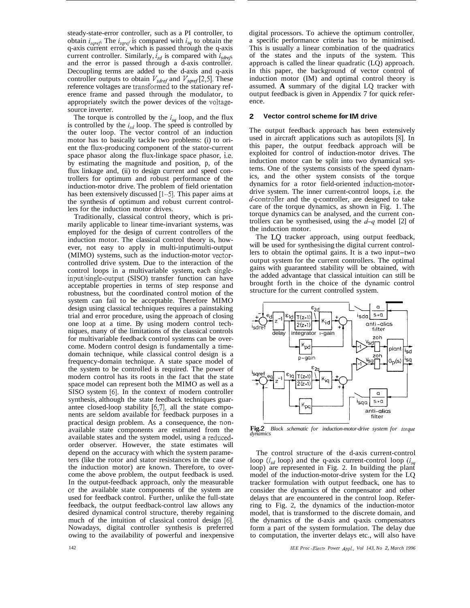<span id="page-1-0"></span>steady-state-error controller, such as a PI controller, to obtain  $i_{\text{sgref}}$ . The  $i_{\text{sgref}}$  is compared with  $i_{\text{sq}}$  to obtain the q-axis current error, which is passed through the q-axis current controller. Similarly,  $\bar{i}_{sd}$  is compared with  $i_{sdref}$ , and the error is passed through a d-axis controller. Decoupling terms are added to the d-axis and q-axis controller outputs to obtain  $V_{\text{sdef}}$  and  $V_{\text{spref}}$  [2,5]. These reference voltages are transformed to the stationary reference frame and passed through the modulator, to appropriately switch the power devices of the voltagesource inverter.

The torque is controlled by the *isq* loop, and the flux is controlled by the  $i_{sd}$  loop. The speed is controlled by the outer loop. The vector control of an induction motor has to basically tackle two problems: (i) to orient the flux-producing component of the stator-current space phasor along the flux-linkage space phasor, i.e. by estimating the magnitude and position, p, of the flux linkage and, (ii) to design current and speed controllers for optimum and robust performance of the induction-motor drive. The problem of field orientation has been extensively discussed [1-5]. This paper aims at the synthesis of optimum and robust current controllers for the induction motor drives.

Traditionally, classical control theory, which is primarily applicable to linear time-invariant systems, was employed for the design of current controllers of the induction motor. The classical control theory is, however, not easy to apply in multi-inputimulti-output (MIMO) systems, such as the induction-motor vectorcontrolled drive system. Due to the interaction of the control loops in a multivariable system, each singleinput/single-output (SISO) transfer function can have acceptable properties in terms of step response and robustness, but the coordinated control motion of the system can fail to be acceptable. Therefore MIMO design using classical techniques requires a painstaking trial and error procedure, using the approach of closing one loop at a time. By using modern control techniques, many of the limitations of the classical controls for multivariable feedback control systems can be overcome. Modern control design is fundamentally a timedomain technique, while classical control design is a frequency-domain technique. A state space model of the system to be controlled is required. The power of modern control has its roots in the fact that the state space model can represent both the MIMO as well as a SISO system [6]. In the context of modern controller synthesis, although the state feedback techniques guarantee closed-loop stability *[6,7],* all the state components are seldom available for feedback purposes in a practical design problem. As a consequence, the nonavailable state components are estimated from the available states and the system model, using a reducedorder observer. However, the state estimates will depend on the accuracy with which the system parameters (like the rotor and stator resistances in the case of the induction motor) are known. Therefore, to overcome the above problem, the output feedback is used. In the output-feedback approach, only the measurable or the available state components of the system are used for feedback control. Further, unlike the full-state feedback, the output feedback-control law allows any desired dynamical control structure, thereby regaining much of the intuition of classical control design [6]. Nowadays, digital controller synthesis is preferred owing to the availability of powerful and inexpensive

digital processors. To achieve the optimum controller, a specific performance criteria has to be minimised. This is usually a linear combination of the quadratics of the states and the inputs of the system. This approach is called the linear quadratic (LQ) approach. In this paper, the background of vector control of induction motor (IM) and optimal control theory is assumed. **A** summary of the digital LQ tracker with output feedback is given in Appendix 7 for quick reference.

#### **2 Vector control scheme for IM drive**

The output feedback approach has been extensively used in aircraft applications such as autopilots [8]. In this paper, the output feedback approach will be exploited for control of induction-motor drives. The induction motor can be split into two dynamical systems. One of the systems consists of the speed dynamics, and the other system consists of the torque dynamics for a rotor field-oriented induction-motordrive system. The inner current-control loops, i.e. the d-controller and the q-controller, are designed to take care of the torque dynamics, as shown in Fig. [1](#page-0-0). The torque dynamics can be analysed, and the current controllers can be synthesised, using the  $d-q$  model [2] of the induction motor. dynamical sys-<br>
e speed dynam-<br>
of the torque<br>
duction-motor-<br>
loops, i[.](#page-0-0)e. the<br>
esigned to take<br>
in Fig. 1. The<br>
he current con-<br>
-q model [2] of<br>
utput feedback,<br>
current control-<br>
two input-two<br>
rs. The optimal<br>
obtaine

The LQ tracker approach, using output feedback, will be used for synthesising the digital current controllers to obtain the optimal gains. It is a two input-two output system for the current controllers. The optimal gains with guaranteed stability will be obtained, with the added advantage that classical intuition can still be brought forth in the choice of the dynamic control structure for the current controlled system.



**Fig. 2**  *Block schematic for induction-motor-drive system for tovque dynamics* 

The control structure of the d-axis current-control loop ( $i_{sd}$  loop) and the q-axis current-control loop ( $i_{sd}$ loop) are represented in Fig. 2. In building the plant model of the induction-motor-drive system for the LQ tracker formulation with output feedback, one has to consider the dynamics of the compensator and other delays that are encountered in the control loop. Referring to Fig. 2, the dynamics of the induction-motor model, that is transformed to the discrete domain, and the dynamics of the d-axis and q-axis compensators form a part of the system formulation. The delay due to computation, the inverter delays etc., will also have

*IEE Proc -Electr Power Appl, Vol 143, No 2, March 1996*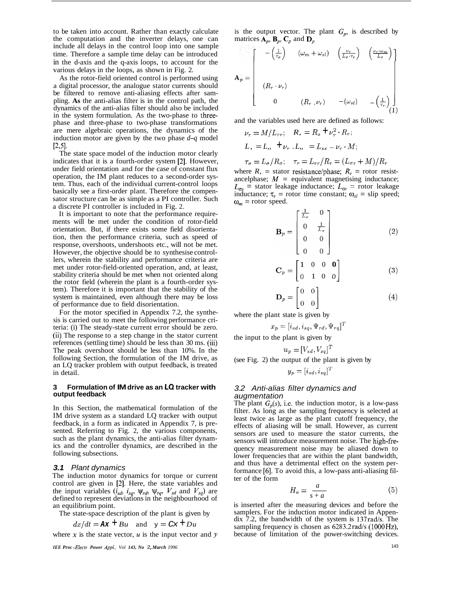<span id="page-2-0"></span>to be taken into account. Rather than exactly calculate the computation and the inverter delays, one can include all delays in the control loop into one sample time. Therefore a sample time delay can be introduced in the d-axis and the q-axis loops, to account for the various delays in the loops, as shown in [Fig. 2.](#page-1-0)

As the rotor-field oriented control is performed using a digital processor, the analogue stator currents should be filtered to remove anti-aliasing effects after sampling. **As** the anti-alias filter is in the control path, the dynamics of the anti-alias filter should also be included in the system formulation. As the two-phase to threephase and three-phase to two-phase transformations are mere algebraic operations, the dynamics of the induction motor are given by the two phase *d-q* model  $[2,5]$ .

The state space model of the induction motor clearly indicates that it is a fourth-order system [2]. However, under field orientation and for the case of constant flux operation, the IM plant reduces to a second-order system. Thus, each of the individual current-control loops basically see a first-order plant. Therefore the compensator structure can be as simple as a PI controller. Such a discrete PI controller is included in [Fig. 2.](#page-1-0)

It is important to note that the performance requirements will be met under the condition of rotor-field orientation. But, if there exists some field disorientation, then the performance criteria, such as speed of response, overshoots, undershoots etc., will not be met. However, the objective should be to synthesise controllers, wherein the stability and performance criteria are met under rotor-field-oriented operation, and, at least, stability criteria should be met when not oriented along the rotor field (wherein the plant is a fourth-order system). Therefore it is important that the stability of the system is maintained, even although there may be loss of performance due to field disorientation.

For the motor specified in Appendix 7.2, the synthesis is carried out to meet the following performance criteria: (i) The steady-state current error should be zero. (ii) The response to a step change in the stator current references (settling time) should be less than 30 ms. (iii) The peak overshoot should be less than 10%. In the following Section, the formulation of the IM drive, as an LQ tracker problem with output feedback, is treated in detail.

#### **3 Formulation of IM drive as an LO tracker with output feedback**

In this Section, the mathematical formulation of the IM drive system as a standard LQ tracker with output feedback, in a form as indicated in Appendix 7, is presented. Referring to Fig. 2, the various components, such as the plant dynamics, the anti-alias filter dynamics and the controller dynamics, are described in the following subsections.

## *3.1 Plant dynamics*

The induction motor dynamics for torque or current control are given in [2]. Here, the state variables and the input variables  $(i_{sd}, i_{sq}, \psi_{rd}, \psi_{rq}, V_{sd}$  and  $V_{sq}$  are defined to represent deviations in the neighbourhood of an equilibrium point.

The state-space description of the plant is given by

$$
dx/dt = \mathbf{A}\mathbf{x} + Bu
$$
 and  $y = C\mathbf{x} + Du$ 

where x is the state vector,  $u$  is the input vector and  $y$ 

*IEE Proc -Electr Power Appl, Vol 143, No* 2, *March 1996* 

is the output vector. The plant  $G_p$ , is described by matrices  $\overrightarrow{\mathbf{A}_p}$ ,  $\mathbf{B}_p$ ,  $\mathbf{C}_p$  and  $\mathbf{D}_p$ 

$$
\mathbf{A}_{p} = \begin{bmatrix} -\left(\frac{1}{\tau_{\sigma}}\right) & (\omega_{m} + \omega_{sl}) & \left(\frac{\nu_{r}}{L_{\sigma} \cdot \tau_{r}}\right) & \left(\frac{\nu_{r} \cdot \omega_{m}}{L_{\sigma}}\right) \\ & & & & \\ & & & \\ (R_{r} \cdot \nu_{r}) & & & \\ 0 & (R_{r} \cdot \nu_{r}) & -(\omega_{sl}) & -\left(\frac{1}{\tau_{r}}\right) \\ & & & & \\ \end{bmatrix}
$$

and the variables used here are defined as follows:

$$
\nu_r = M/L_{rr}; \quad R_s = R_s + \nu_r^2 \cdot R_r;
$$
  

$$
L_s = L_s, \quad \pm \nu_r \cdot L_s, \quad = L_{ss} - \nu_r \cdot M;
$$

$$
\tau_{\sigma} = L_{\sigma}/R_{\sigma}; \quad \tau_r = L_{rr}/R_r = (L_{\sigma r} + M)/R_r
$$

where  $R_1$  = stator resistance/phase;  $R_r$  = rotor resistancelphase;  $M =$  equivalent magnetising inductance;  $L_{\sigma s}$  = stator leakage inductance;  $L_{\sigma r}$  = rotor leakage inductance;  $\tau_r$  = rotor time constant;  $\omega_{sl}$  = slip speed;  $\omega_m$  = rotor speed.

$$
\mathbf{B}_{p} = \begin{bmatrix} \frac{1}{L_{\sigma}} & 0 \\ 0 & \frac{1}{L_{\sigma}} \\ 0 & 0 \\ 0 & 0 \end{bmatrix}
$$
 (2)

$$
\mathbf{C}_p = \begin{bmatrix} 1 & 0 & 0 & \mathbf{0} \\ 0 & 1 & 0 & 0 \end{bmatrix}
$$
 (3)

$$
\mathbf{D}_p = \begin{bmatrix} 0 & 0 \\ 0 & 0 \end{bmatrix} \tag{4}
$$

where the plant state is given by

$$
x_p = [i_{sd}, i_{sq}, \Psi_{rd}, \Psi_{rq}]^T
$$

the input to the plant is given by

$$
u_p = [V_{sd}, V_{sq}]^T
$$

(see Fig. 2) the output of the plant is given by

$$
y_p = [i_{sd}, i_{sq}]^T
$$

## *3.2 Anti-alias filter dynamics and augmentation*

The plant  $G_p(s)$ , i.e. the induction motor, is a low-pass filter. As long as the sampling frequency is selected at least twice as large as the plant cutoff frequency, the effects of aliasing will be small. However, as current sensors are used to measure the stator currents, the sensors will introduce measurement noise. The high-frequency measurement noise may be aliased down to lower frequencies that are within the plant bandwidth, and thus have a detrimental effect on the system performance [6]. To avoid this, a low-pass anti-aliasing filter of th lower frequencies that are within the plant bandwidth, and thus have a detrimental effect on the system performance *[6].* To avoid this, a low-pass anti-aliasing filter of the form

$$
H_a = \frac{a}{s+a} \tag{5}
$$

is inserted after the measuring devices and before the samplers. For the induction motor indicated in Appendix 7.2, the bandwidth of the system is 137rad/s. The sampling frequency is chosen as  $6283.2 \text{rad/s}$  (1000Hz), because of limitation of the power-switching devices.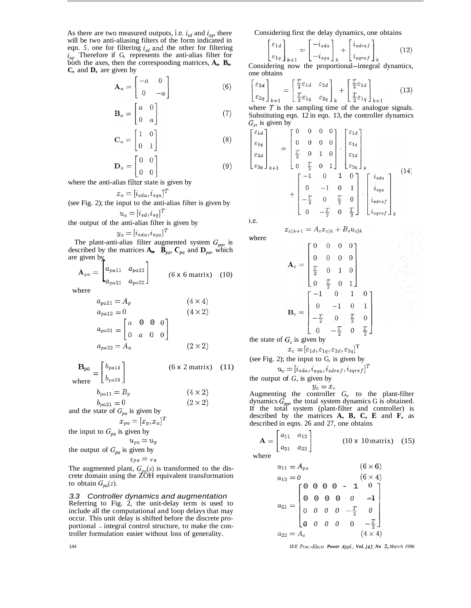As there are two measured outputs, i.e.  $i_{sd}$  and  $i_{sq}$ , there will be two anti-aliasing filters of the form indicated in eqn. 5, one for filtering  $i_{sd}$  and the other for filtering *isq.* Therefore if G, represents the anti-alias filter for both the axes, then the corresponding matrices,  $A_{n}$ ,  $B_{n}$ **C,** and **D,** are given by

$$
\mathbf{A}_a = \begin{bmatrix} -a & 0 \\ 0 & -a \end{bmatrix} \tag{6}
$$

$$
\mathbf{B}_a = \begin{bmatrix} a & 0 \\ 0 & a \end{bmatrix} \tag{7}
$$

$$
\mathbf{C}_a = \begin{bmatrix} 1 & 0 \\ 0 & 1 \end{bmatrix} \tag{8}
$$

$$
\mathbf{D}_a = \begin{bmatrix} 0 & 1 \\ 0 & 0 \\ 0 & 0 \end{bmatrix} \tag{9}
$$

where the anti-alias filter state is given by

$$
x_a = [i_{sda}, i_{sqa}]^T
$$

(see Fig. 2); the input to the anti-alias filter is given by  $u_a = [i_{sd}, i_{sq}]^T$ 

the output of the anti-alias filter is given by

$$
y_a = [i_{sda}, i_{sqa}]^T
$$

The plant-anti-alias filter augmented system  $G_{pa}$ , is described by the matrices  $A_{m}$ ,  $\overrightarrow{B}_{pa}$ ,  $C_{pa}$  and  $D_{pa}$ , which are given by

$$
\mathbf{A}_{pa} = \begin{bmatrix} a_{pa11} & a_{pa12} \\ a_{pa21} & a_{pa22} \end{bmatrix}
$$
 (6 x 6 matrix) (10)

where

$$
a_{pa11} = A_p \t\t (4 \times 4)
$$
  
\n
$$
a_{pa12} = 0 \t\t (4 \times 2)
$$
  
\n
$$
a_{pa21} = \begin{bmatrix} a & 0 & 0 & 0 \\ 0 & a & 0 & 0 \end{bmatrix}
$$
  
\n
$$
a_{pa22} = A_a \t\t (2 \times 2)
$$

$$
\mathbf{B}_{pa} = \begin{bmatrix} b_{pa11} \\ b_{pa21} \end{bmatrix}
$$
 (6 x 2 matrix) (11)

 $b_{pa11} = B_p$  $(4 \times 2)$ 

$$
b_{pa21} = 0 \tag{2 \times 2}
$$

and the state of  $G_{pa}$  is given by

$$
x_{pa} = [x_p, x_a]^T
$$

the input to  $G_{pa}$  is given by

$$
u_{pa} = u_p
$$
 the output of  $G_{pa}$  is given by

## $Ypa = Ya$

The augmented plant,  $G_{pa}(s)$  is transformed to the discrete domain using the ZOH equivalent transformation to obtain  $G_{pa}(z)$ .

*3.3 Controller dynamics and augmentation*  Referring to Fig. 2, the unit-delay term is used to include all the computational and loop delays that may occur. This unit delay is shifted before the discrete proportional - integral control structure, to make the controller formulation easier without loss of generality.

Considering first the delay dynamics, one obtains

$$
\begin{bmatrix} \varepsilon_{1d} \\ \varepsilon_{1q} \end{bmatrix}_{k+1} = \begin{bmatrix} -i_{sda} \\ -i_{sqa} \end{bmatrix}_{k} + \begin{bmatrix} i_{sderf} \\ i_{spref} \end{bmatrix}_{k} \tag{12}
$$

Considering now the proportional-integral dynamics, one obtains

$$
\begin{bmatrix} \varepsilon_{2d} \\ \varepsilon_{2q} \end{bmatrix}_{k+1} = \begin{bmatrix} \frac{T}{2} \varepsilon_{1d} & \varepsilon_{2d} \\ \frac{T}{2} \varepsilon_{1q} & \varepsilon_{2q} \end{bmatrix}_{k} + \begin{bmatrix} \frac{T}{2} \varepsilon_{1d} \\ \frac{T}{2} \varepsilon_{1q} \end{bmatrix}_{k+1}
$$
 (13)

where  $T$  is the sampling time of the analogue signals. Substituting eqn. 12 in eqn. 13, the controller dynamics *G,,* is given by

$$
\begin{bmatrix}\n\varepsilon_{1d} \\
\varepsilon_{1q} \\
\varepsilon_{2d} \\
\varepsilon_{2q}\n\end{bmatrix}_{k+1} = \begin{bmatrix}\n0 & 0 & 0 & 0 \\
0 & 0 & 0 & 0 \\
\frac{T}{2} & 0 & 1 & 0 \\
0 & \frac{T}{2} & 0 & 1\n\end{bmatrix} \cdot \begin{bmatrix}\n\varepsilon_{1d} \\
\varepsilon_{1q} \\
\varepsilon_{2d} \\
\varepsilon_{2q}\n\end{bmatrix}_{k}
$$
\n
$$
+ \begin{bmatrix}\n-1 & 0 & 1 & 0 \\
0 & -1 & 0 & 1 \\
-\frac{T}{2} & 0 & \frac{T}{2} & 0 \\
0 & -\frac{T}{2} & 0 & \frac{T}{2}\n\end{bmatrix} \cdot \begin{bmatrix}\ni_{sda} \\
i_{sqa} \\
i_{sqref} \\
i_{sqref}\n\end{bmatrix}_{k}
$$
\n(14)

i.e.

where

 $x_{c|k+1} = A_c x_{c|k} + B_c u_{c|k}$ 

$$
\mathbf{A}_{c} = \begin{bmatrix} 0 & 0 & 0 & 0 \\ 0 & 0 & 0 & 0 \\ \frac{T}{2} & 0 & 1 & 0 \\ 0 & \frac{T}{2} & 0 & 1 \end{bmatrix}
$$

$$
\mathbf{B}_{c} = \begin{bmatrix} -1 & 0 & 1 & 0 \\ 0 & -1 & 0 & 1 \\ -\frac{T}{2} & 0 & \frac{T}{2} & 0 \\ 0 & -\frac{T}{2} & 0 & \frac{T}{2} \end{bmatrix}
$$

the state of  $G_c$  is given by

$$
x_c = [\varepsilon_{1d}, \varepsilon_{1q}, \varepsilon_{2d}, \varepsilon_{2q}]^\text{T}
$$

(see Fig. 2); the input to 
$$
G
$$
, is given by

$$
u_c = [i_{sda}, i_{sqa}, i_{sdref}, i_{sqref}]^T
$$

the output of G, is given by  

$$
y_c = x_c
$$

Augmenting the controller *G,,* to the plant-filter dynamics  $\tilde{G}_{p,q}$ , the total system dynamics G is obtained. If the total system (plant-filter and controller) is described by the matrices **A, B, C, E** and **F,** as described in eqns. 26 and 27, one obtains

$$
\mathbf{A} = \begin{bmatrix} a_{11} & a_{12} \\ a_{21} & a_{22} \end{bmatrix}
$$
 (10 x 10 matrix) (15)  
where

$$
a_{11} = A_{pa} \qquad (6 \times 6)
$$
  
\n
$$
a_{12} = 0 \qquad (6 \times 4)
$$
  
\n
$$
a_{21} = \begin{bmatrix} 0 & 0 & 0 & 0 & -1 & 0 \\ 0 & 0 & 0 & 0 & 0 & -1 \\ 0 & 0 & 0 & 0 & -\frac{T}{2} & 0 \\ 0 & 0 & 0 & 0 & 0 & -\frac{T}{2} \end{bmatrix}
$$
  
\n
$$
a_{22} = A_c \qquad (4 \times 4)
$$

*IEE Pro,.-Elecfr. Power Appl., Vol. 143, No* 2, *March 1996*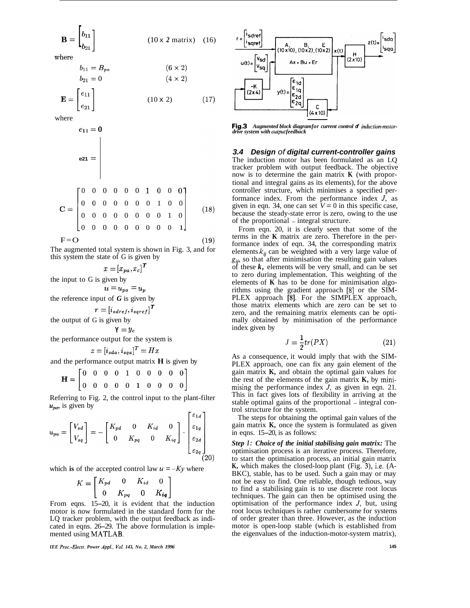$$
\mathbf{B} = \begin{bmatrix} b_{11} \\ b_{21} \end{bmatrix} \tag{10 x 2 matrix} \tag{16}
$$

where

 $b_{21}=0$ 

$$
b_{11} = B_{pa}
$$
  
\n
$$
b_{21} = 0
$$
  
\n
$$
(6 \times 2)
$$
  
\n
$$
(4 \times 2)
$$

 $(17)$ 

$$
\mathbf{E} = \begin{bmatrix} e_{11} \\ e_{21} \end{bmatrix} \tag{10 x 2}
$$

where

$$
e_{11} = 0
$$
\n
$$
e_{21} = \begin{vmatrix}\n0 & 0 & 0 & 0 & 0 & 1 & 0 & 0 & 0 \\
0 & 0 & 0 & 0 & 0 & 0 & 1 & 0 & 0 \\
0 & 0 & 0 & 0 & 0 & 0 & 1 & 0 & 0 \\
0 & 0 & 0 & 0 & 0 & 0 & 0 & 1 & 0 \\
0 & 0 & 0 & 0 & 0 & 0 & 0 & 0 & 1\n\end{vmatrix}
$$
\n
$$
F = O
$$
\n(19)

The augmented total system is shown in Fig. 3, and for this system the state of G is given by

 $x = [x_{pa}, x_c]^T$ 

the input to G is given by

 $u = u_{pa} = u_p$ 

the reference input of  $G$  is given by

$$
r = [i_{sdref}, i_{sqref}]^T
$$

the output of G is given by

$$
\mathtt{Y} = y_c
$$

the performance output for the system is

$$
z = [i_{sda}, i_{sqa}]^T = Hx
$$

and the performance output matrix **H** is given by

$$
\mathbf{H} = \begin{bmatrix} 0 & 0 & 0 & 0 & 1 & 0 & 0 & 0 & 0 & 0 \\ 0 & 0 & 0 & 0 & 0 & 1 & 0 & 0 & 0 & 0 \end{bmatrix}
$$

Referring to Fig. 2, the control input to the plant-filter  $u_{pa}$ , is given by  $\Gamma_{51}$ ,  $\overline{1}$ 

$$
u_{pa} = \begin{bmatrix} V_{sd} \\ V_{sq} \end{bmatrix} = -\begin{bmatrix} K_{pd} & 0 & K_{id} & 0 \\ 0 & K_{pq} & 0 & K_{iq} \end{bmatrix} \cdot \begin{bmatrix} \varepsilon_{1a} \\ \varepsilon_{1q} \\ \varepsilon_{2a} \\ \varepsilon_{2q} \end{bmatrix}
$$
(20)

which is of the accepted control law  $u = -Ky$  where

of the accepted control law 
$$
u = -l
$$
  
\n
$$
K = \begin{bmatrix} K_{pd} & 0 & K_{id} & 0 \\ 0 & K_{pq} & 0 & K_{iq} \end{bmatrix}
$$

From eqns. 15-20, it is evident that the induction motor is now formulated in the standard form for the LQ tracker problem, with the output feedback as indicated in eqns. 26-29. The above formulation is implemented using MATLAB.

*IEE Proc.-Eleetr. Power Appl.. Vol. 143, No. 2, March 1996* 



**Fig. 3**  *drive system with output feedback Augmented block diagram for current control of induction-motor-*

*3.4 Design of digital current-controller gains*  The induction motor has been formulated as an LQ tracker problem with output feedback. The objective now is to determine the gain matrix **K** (with proportional and integral gains as its elements), for the above controller structure, which minimises a specified performance index. From the performance index *J,* as given in eqn. 34, one can set  $V = 0$  in this specific case, because the steady-state error is zero, owing to the use of the proportional – integral structure.

From eqn. 20, it is clearly seen that some of the terms in the **K** matrix are zero. Therefore in the performance index of eqn. 34, the corresponding matrix elements  $k_{ij}$  can be weighted with a very large value of  $g_{ij}$ , so that after minimisation the resulting gain values of these  $k$ , elements will be very small, and can be set to zero during implementation. This weighting of the elements of **K** has to be done for minimisation algorithms using the gradient approach **[S]** or the SIM-PLEX approach **[S].** For the SIMPLEX approach, those matrix elements which are zero can be set to zero, and the remaining matrix elements can be optimally obtained by minimisation of the performance index given by

$$
J = \frac{1}{2}tr(PX)
$$
 (21)

As a consequence, it would imply that with the SIM-PLEX approach, one can fix any gain element of the gain matrix **K,** and obtain the optimal gain values for the rest of the elements of the gain matrix **K,** by minimising the performance index *J,* as given in eqn. 21. This in fact gives lots of flexibility in arriving at the stable optimal gains of the proportional – integral control structure for the system.

The steps for obtaining the optimal gain values of the gain matrix **K,** once the system is formulated as given in eqns. 15-20, is as follows:

*Step I: Choice of the initial stabilising gain matrix:* The optimisation process is an iterative process. Therefore, to start the optimisation process, an initial gain matrix **K,** which makes the closed-loop plant (Fig. 3), i.e. (A- BKC), stable, has to be used. Such a gain may or may not be easy to find. One reliable, though tedious, way to find a stabilising gain is to use discrete root locus techniques. The gain can then be optimised using the optimisation of the performance index *J,* but, using root locus techniques is rather cumbersome for systems of order greater than three. However, as the induction motor is open-loop stable (which is established from the eigenvalues of the induction-motor-system matrix),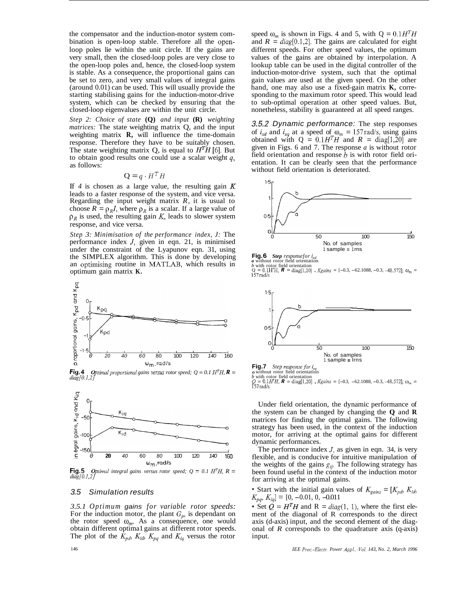the compensator and the induction-motor system combination is open-loop stable. Therefore all the openloop poles lie within the unit circle. If the gains are very small, then the closed-loop poles are very close to the open-loop poles and, hence, the closed-loop system is stable. As a consequence, the proportional gains can be set to zero, and very small values of integral gains (around 0.01) can be used. This will usually provide the starting stabilising gains for the induction-motor-drive system, which can be checked by ensuring that the closed-loop eigenvalues are within the unit circle.

*Step 2: Choice of state* **(Q)** *and input* **(R)** *weighting matrices:* The state weighting matrix Q, and the input weighting matrix **R,** will influence the time-domain response. Therefore they have to be suitably chosen. The state weighting matrix Q, is equal to  $H<sup>T</sup>H$  [6]. But to obtain good results one could use a scalar weight *q,*  as follows:

$$
\mathbf{Q} = q \cdot H^T H
$$

If *4* is chosen as a large value, the resulting gain *K*  leads to a faster response of the system, and vice versa. Regarding the input weight matrix *R,* it is usual to choose  $R = \rho_R I$ , where  $\rho_R$  is a scalar. If a large value of  $p<sub>R</sub>$  is used, the resulting gain *K*, leads to slower system response, and vice versa.

*Step 3: Minimisation of the performance index, J:* The performance index *J,* given in eqn. 21, is minirnised under the constraint of the Lyapunov eqn. 31, using the SIMPLEX algorithm. This is done by developing an optimising routine in MATLAB, which results in optimum gain matrix **K.** 



**Fig.4**   $diag[0.1,2]$ *Optimal proportional gains versus rotor speed;*  $Q = 0.1 H<sup>T</sup>H$ *,*  $R =$ 



**Fig.5**   $diag[0.1,2]$ *Optimal integral gains versus rotor speed;*  $Q = 0.1 H^{T}H$ *,*  $R =$ 

## *3.5 Simulation results*

*3.5.1 Optimum gains for variable rotor speeds:*  For the induction motor, the plant  $G_p$ , is dependant on the rotor speed  $\omega_m$ . As a consequence, one would obtain different optima1 gains at different rotor speeds. The plot of the  $\hat{K}_{pd}$ ,  $K_{id}$ ,  $\overline{K}_{pq}$  and  $K_{iq}$  versus the rotor speed  $\omega_m$  is shown in Figs. 4 and 5, with  $Q = 0.1H^T H$ and  $R = diag[0.1,2]$ . The gains are calculated for eight different speeds. For other speed values, the optimum values of the gains are obtained by interpolation. A lookup table can be used in the digital controller of the induction-motor-drive system, such that the optimal gain values are used at the given speed. On the other hand, one may also use a fixed-gain matrix **K,** corresponding to the maximum rotor speed. This would lead to sub-optimal operation at other speed values. But, nonetheless, stability is guaranteed at all speed ranges.

*3.5.2 Dynamic performance:* The step responses of  $i_{sd}$  and  $i_{sq}$  at a speed of  $\omega_m = 157 \text{ rad/s}$ , using gains obtained with  $Q = 0.1H^{T}H$  and  $R = diag[1,20]$  are given in Figs. 6 and 7. The response *a* is without rotor field orientation and response *b* is with rotor field orientation. It can be clearly seen that the performance without field orientation is deteriorated.



*Step responsefor*  $i_{sd}$ 

**Fig. 6** *Step responsefor*  $i_{sd}$ <br> *b* with rotor field orientation<br>  $Q = 0.1H'H$ ,  $R = \text{diag}[1,20]$ , *Kgains* = [-0.3, -62.1088, -0.3, -48.572];  $\omega_m =$ <br>157rad/s



**Fig.7** *Step response for i<sub>sq</sub>*  $\alpha$  *without rotor field orientation <i>b* with rotor field orientation  $Q = 0.1H'H$ ,  $R = \text{diag}[1,20]$ , *Kgains* = [-0.3, -62.1088, -0.3, -48.572];  $\omega_m =$ 157rad/s

Under field orientation, the dynamic performance of the system can be changed by changing the **Q** and **R**  matrices for finding the optimal gains. The following strategy has been used, in the context of the induction motor, for arriving at the optimal gains for different dynamic performances.

The performance index *J,* as given in eqn. 34, is very flexible, and is conducive for intuitive manipulation of the weights of the gains  $g_{ii}$ . The following strategy has been found useful in the context of the induction motor for arriving at the optimal gains.

Start with the initial gain values of  $K_{\text{gains}} = [K_{\text{pd}}, K_{\text{id}}]$  $K_{pq}, K_{iq}$ ] = [0, -0.01, 0, -0.011

• Set  $Q = H<sup>T</sup>H$  and R = *diag*(1, 1), where the first element of the diagonal of R corresponds to the direct axis (d-axis) input, and the second element of the diagonal of *R* corresponds to the quadrature axis (q-axis) input.

*IEE Proc-Electr. Power Appl.,* .Val. *143, No. 2, March 1996* 

146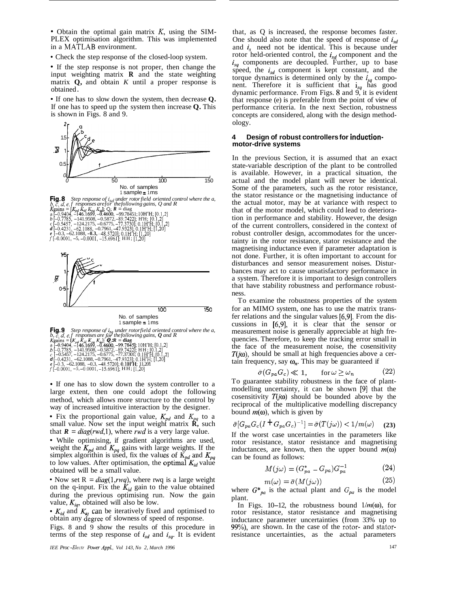• Obtain the optimal gain matrix  $K$ , using the SIM-PLEX optimisation algorithm. This was implemented in a MATLAB environment.

• Check the step response of the closed-loop system.

• If the step response is not proper, then change the input weighting matrix  $\bf{R}$  and the state weighting matrix  $Q$ , and obtain K until a proper response is obtained.

• If one has to slow down the system, then decrease O. If one has to speed up the system then increase  $Q$ . This is shown in Figs. 8 and 9.



• If one has to slow down the system controller to a large extent, then one could adopt the following method, which allows more structure to the control by way of increased intuitive interaction by the designer.

• Fix the proportional gain value,  $K_{pd}$  and  $K_{pq}$  to a small value. Now set the input weight matrix **R**, such that  $\mathbf{R} = diag(rwd, 1)$ , where *rwd* is a very large value.

· While optimising, if gradient algorithms are used, weight the  $K_{pd}$  and  $K_{pq}$  gains with large weights. If the simplex algorithin is used, fix the values of  $K_{pd}$  and  $K_{pq}$ to low values. After optimisation, the optimal  $K_{id}$  value obtained will be a small value.

• Now set  $R = diag(1, r w q)$ , where rwq is a large weight on the q-input. Fix the  $K_{id}$  gain to the value obtained during the previous optimising run. Now the gain value,  $K_{iq}$ , obtained will also be low.

•  $K_{id}$  and  $K_{iq}$  can be iteratively fixed and optimised to obtain any degree of slowness of speed of response.

Figs. 8 and 9 show the results of this procedure in terms of the step response of  $i_{sd}$  and  $i_{sq}$ . It is evident

IEE Proc-Electr Power Appl., Vol 143, No 2, March 1996

that, as O is increased, the response becomes faster. One should also note that the speed of response of  $i_{sd}$ and  $i_s$  need not be identical. This is because under rotor held-oriented control, the  $i_{sd}$  component and the  $i_{sq}$  components are decoupled. Further, up to base speed, the i<sub>sd</sub> component is kept constant, and the torque dynamics is determined only by the  $i_{sa}$  component. Therefore it is sufficient that i<sub>sq</sub> has good dynamic performance. From Figs. 8 and 9, it is evident that response (e) is preferable from the point of view of performance criteria. In the next Section, robustness concepts are considered, along with the design methodology.

#### 4 Design of robust controllers for inductionmotor-drive systems

In the previous Section, it is assumed that an exact state-variable description of the plant to be controlled is available. However, in a practical situation, the actual and the model plant will never be identical. Some of the parameters, such as the rotor resistance, the stator resistance or the magnetising inductance of the actual motor, may be at variance with respect to that of the motor model, which could lead to deterioration in performance and stability. However, the design of the current controllers, considered in the context of robust controller design, accommodates for the uncertainty in the rotor resistance, stator resistance and the magnetising inductance even if parameter adaptation is not done. Further, it is often important to account for disturbances and sensor measurement noises. Disturbances may act to cause unsatisfactory performance in a system. Therefore it is important to design controllers that have stability robustness and performance robustness.

To examine the robustness properties of the system for an MIMO system, one has to use the matrix transfer relations and the singular values [6,9]. From the discussions in [6,9], it is clear that the sensor or measurement noise is generally appreciable at high frequencies. Therefore, to keep the tracking error small in the face of the measurement noise, the cosensitivity  $T(j\omega)$ , should be small at high frequencies above a certain frequency, say  $\omega_n$ . This may be guaranteed if

$$
\bar{\sigma}(G_{pa}G_c) \ll 1, \quad \text{for } \omega \ge \omega_n \tag{22}
$$

To guarantee stability robustness in the face of plantmodelling uncertainty, it can be shown [9] that the cosensitivity  $T(j\omega)$  should be bounded above by the reciprocal of the multiplicative modelling discrepancy bound  $m(\omega)$ , which is given by

$$
\bar{\sigma}[G_{pa}G_c(I + G_{pa}G_c)^{-1}] = \bar{\sigma}(T(j\omega)) < 1/m(\omega) \tag{23}
$$

If the worst case uncertainties in the parameters like rotor resistance, stator resistance and magnetising inductances, are known, then the upper bound  $m(\omega)$ can be found as follows:

$$
M(j\omega) = (G_{pa}^* - G_{pa})G_{pa}^{-1}
$$
 (24)

$$
m(\omega) = \bar{\sigma}(M(j\omega))\tag{25}
$$

where  $G^*_{pa}$  is the actual plant and  $G_{pa}$  is the model plant.

In Figs. 10–12, the robustness bound  $1/m(\omega)$ , for rotor resistance, stator resistance and magnetising inductance parameter uncertainties (from 33% up to 99%), are shown. In the case of the rotor- and statorresistance uncertainties, as the actual parameters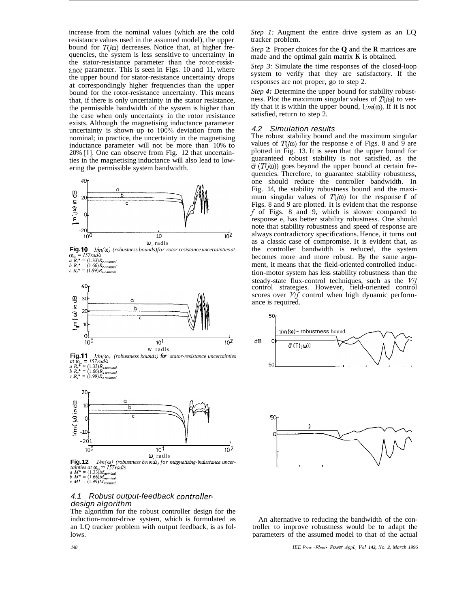increase from the nominal values (which are the cold resistance values used in the assumed model), the upper bound for  $T(j\omega)$  decreases. Notice that, at higher frequencies, the system is less sensitive to uncertainty in the stator-resistance parameter than the rotor-resistance parameter. This is seen in Figs. 10 and 11, where the upper bound for stator-resistance uncertainty drops at correspondingly higher frequencies than the upper bound for the rotor-resistance uncertainty. This means that, if there is only uncertainty in the stator resistance, the permissible bandwidth of the system is higher than the case when only uncertainty in the rotor resistance exists. Although the magnetising inductance parameter uncertainty is shown up to  $100\%$  deviation from the nominal; in practice, the uncertainty in the magnetising inductance parameter will not be more than 10% to 20% [l]. One can observe from Fig. 12 that uncertainties in the magnetising inductance will also lead to lowering the permissible system bandwidth.



w, radls **Fig. 12 tainties at**  $\omega_m = 157 \text{ rad/s}$ **<br>** *tamines at*  $\omega_m = 157 \text{ rad/s}$ <br> *b*  $M^* = (1.33)M_{nominal}$ <br> *c*  $M^* = (1.99)M_{nominal}$ *l/m(* $\omega$ ) (robustness bounds) for magnetising-inductance uncer-

 $10^{10}$  10<sup>1</sup> 10<sup>2</sup>

## *4.1 Robust output-feedback controllerdesign algorithm*

The algorithm for the robust controller design for the induction-motor-drive system, which is formulated as an LQ tracker problem with output feedback, is as follows.

*Step 1:* Augment the entire drive system as an LQ tracker problem.

*Step* 2: Proper choices for the **Q** and the **R** matrices are made and the optimal gain matrix **K** is obtained.

*Step 3:* Simulate the time responses of the closed-loop system to verify that they are satisfactory. If the responses are not proper, go to step 2.

*Step 4:* Determine the upper bound for stability robustness. Plot the maximum singular values of  $T(i\omega)$  to verify that it is within the upper bound,  $1/m(\omega)$ . If it is not satisfied, return to step 2.

## *4.2 Simulation results*

The robust stability bound and the maximum singular values of  $T(i\omega)$  for the response *e* of Figs. 8 and 9 are plotted in Fig. 13. It is seen that the upper bound for guaranteed robust stability is not satisfied, as the  $\bar{\sigma}$  (T(i\imegoral)) goes beyond the upper bound at certain frequencies. Therefore, to guarantee stability robustness, one should reduce the controller bandwidth. In Fig. 14, the stability robustness bound and the maximum singular values of  $T(i\omega)$  for the response f of Figs. 8 and 9 are plotted. It is evident that the response *f* of Figs. 8 and 9, which is slower compared to response e, has better stability robustness. One should note that stability robustness and speed of response are always contradictory specifications. Hence, it turns out as a classic case of compromise. It is evident that, as the controller bandwidth is reduced, the system becomes more and more robust. By the same argument, it means that the field-oriented controlled induction-motor system has less stability robustness than the steady-state flux-control techniques, such as the *Vlf*  control strategies. However, field-oriented control scores over  $V/f$  control when high dynamic performance is required.





An alternative to reducing the bandwidth of the controller to improve robustness would be to adapt the parameters of the assumed model to that of the actual

*148 IEE Proc.-Electr. Power Appl., Vol. 143, No. 2, March 1996*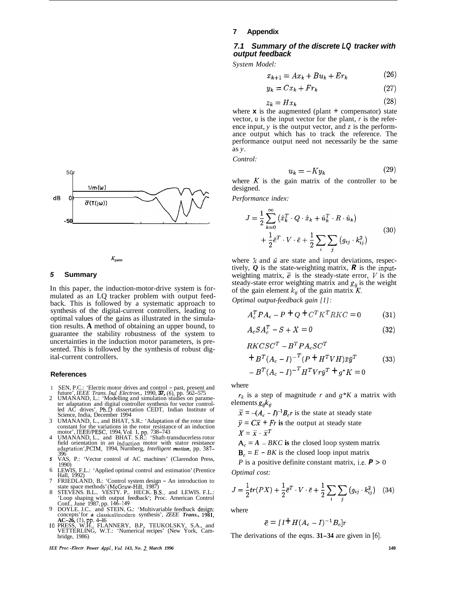



#### *5* **Summary**

In this paper, the induction-motor-drive system is formulated as an LQ tracker problem with output feedback. This is followed by a systematic approach to synthesis of the digital-current controllers, leading to optimal values of the gains as illustrated in the simulation results. **A** method of obtaining an upper bound, to guarantee the stability robustness of the system to uncertainties in the induction motor parameters, is presented. This is followed by the synthesis of robust digital-current controllers.

#### **References**

- 1 2 SEN, P.C.: 'Electric motor drives and control - past, present and future', *IEEE Trans. Ind. Electron.,* 1990, **37,** (6), pp. 562-575
- UMANAND, L.: 'Modelling and simulation studies on parame- ter adaptation and digital controller synthesis for vector control- led AC drives'. Ph.D dissertation CEDT, Indian Institute of Science, India, December 1994
- 3 UMANAND, L., and BHAT, S.R.: 'Adaptation of the rotor time
- 4 constant for the variations in the rotor resistance of an induction<br>motor', IEEE/PESC, 1994, Vol. 1, pp. 738–743<br>UMANAND, L., and BHAT. S.R.: 'Shaft-transducerless rotor<br>field orientation in an induction motor with stator 396
- *5*  VAS, P.: 'Vector control of AC machines' (Clarendon Press, 1990)
- 6 7 LEWIS, F.L.: 'Applied optimal control and estimation' (Prentice Hall, 1992)
- 8 Hall, 1992)<br>FRIEDLAND, B.: 'Control system design – An introduction to<br>state space methods' (McGraw-Hill, 1987)<br>STEVENS. B.L.. VESTY. P.. HECK. B.S., and LEWIS. F.L.:
- 'Loop shaping with output feedback'; Proc. American Control<br>Conf., June 1987, pp. 146–149<br>DOYLE. J.C.. and STEIN, G.: 'Multivariable feedback design;<br>concepts' for a classical/modern synthesis', *ZEEE Trans.*, 1981,
- 9 concepts' for a classical/modern synthesis', *ZEE Trans.*, 1981, **AC-26**, (1), pp. 4-16<br>10 PRESS, W.H., FLANNERY, B.P., TEUKOLSKY, S.A., and
- VETTERLING, W.T.: 'Numerical recipes' (New York, Cam- bridge, 1986)

*IEE Proc-Electr. Power Appl., Vol. 143, No. 2, March 1996* 

#### **7 Appendix**

## *7.1 Summary of the discrete LQ tracker with output feedback*

*System Model:* 

$$
x_{k+1} = Ax_k + Bu_k + Er_k \tag{26}
$$

$$
y_k = Cx_k + Fr_k \tag{27}
$$

$$
z_k = Hx_k \tag{28}
$$

where  $\bf{x}$  is the augmented (plant  $\bf{+}$  compensator) state vector, u is the input vector for the plant, *r* is the reference input, *y* is the output vector, and *z* is the performance output which has to track the reference. The performance output need not necessarily be the same as *y.* 

*Control:* 

$$
u_k = -Ky_k \tag{29}
$$

where  $K$  is the gain matrix of the controller to be designed.

*Performance index:* 

$$
J = \frac{1}{2} \sum_{k=0}^{\infty} (\hat{x}_k^T \cdot Q \cdot \hat{x}_k + \hat{u}_k^T \cdot R \cdot \hat{u}_k)
$$
  
+ 
$$
\frac{1}{2} \bar{e}^T \cdot V \cdot \bar{e} + \frac{1}{2} \sum_i \sum_j (g_{ij} \cdot k_{ij}^2)
$$
 (30)

where  $\hat{x}$  and  $\hat{u}$  are state and input deviations, respectively,  $Q$  is the state-weighting matrix,  $R$  is the inputweighting matrix,  $\vec{e}$  is the steady-state error,  $V$  is the steady-state error weighting matrix and  $g_{ii}$  is the weight of the gain element  $k_{ij}$  of the gain matrix K.

*Optimal output-feedback gain [I]:* 

$$
A_c^T P A_c - P + Q + C^T K^T R K C = 0 \tag{31}
$$

$$
A_c SA_c^T - S + X = 0 \tag{32}
$$

$$
RKCSC^{T} - B^{T}PA_{c}SC^{T}
$$
  
+
$$
B^{T}(A_{c} - I)^{-T}(P + H^{T}VH)\bar{x}\bar{y}^{T}
$$
(33)  
-
$$
B^{T}(A_{c} - I)^{-T}H^{T}V\bar{y}^{T} + g^{*}K = 0
$$

where

elements  $g_{ij}k_{ij}$  $r_k$  is a step of magnitude *r* and  $g*K$  a matrix with

 $\bar{x} = -(A_c - I)^{-1}B_c r$  is the state at steady state  $\overline{y} = C\overline{x} + Fr$  is the output at steady state  $X=\bar{x}\cdot\bar{x}^T$ 

 $A_c = A - BKC$  is the closed loop system matrix

 **is the closed loop input matrix** 

*P* is a positive definite constant matrix, i.e.  $P > 0$ *Optimal cost:* 

$$
J = \frac{1}{2}tr(PX) + \frac{1}{2}\bar{e}^T \cdot V \cdot \bar{e} + \frac{1}{2}\sum_{i} \sum_{j} (g_{ij} \cdot k_{ij}^2) \quad (34)
$$

where

$$
\bar{e} = [I^{\dagger} H (A_c - I)^{-1} B_c] r
$$

The derivations of the eqns. **31-34** are given in *[6].*